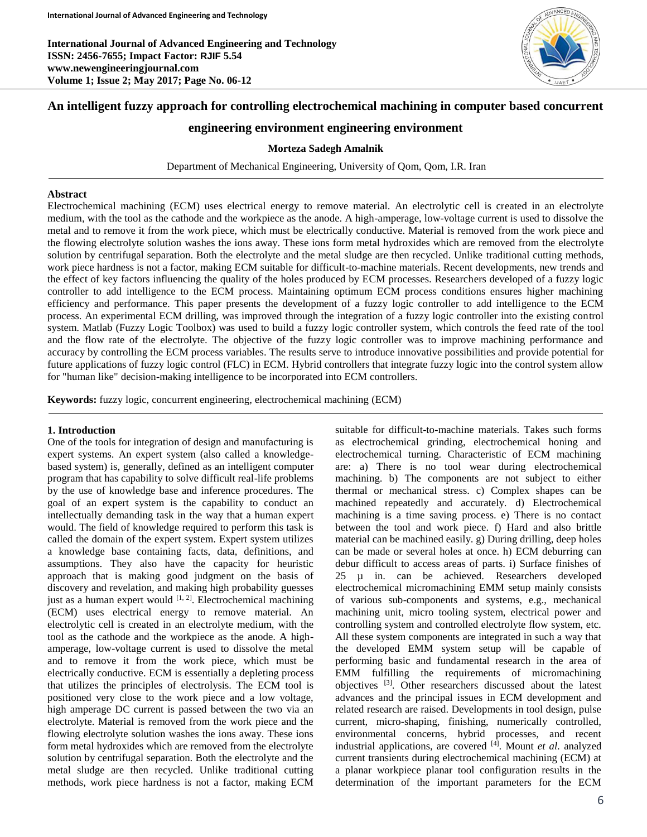

# **An intelligent fuzzy approach for controlling electrochemical machining in computer based concurrent**

## **engineering environment engineering environment**

#### **Morteza Sadegh Amalnik**

Department of Mechanical Engineering, University of Qom, Qom, I.R. Iran

#### **Abstract**

Electrochemical machining (ECM) uses electrical energy to remove material. An electrolytic cell is created in an electrolyte medium, with the tool as the cathode and the workpiece as the anode. A high-amperage, low-voltage current is used to dissolve the metal and to remove it from the work piece, which must be electrically conductive. Material is removed from the work piece and the flowing electrolyte solution washes the ions away. These ions form metal hydroxides which are removed from the electrolyte solution by centrifugal separation. Both the electrolyte and the metal sludge are then recycled. Unlike traditional cutting methods, work piece hardness is not a factor, making ECM suitable for difficult-to-machine materials. Recent developments, new trends and the effect of key factors influencing the quality of the holes produced by ECM processes. Researchers developed of a fuzzy logic controller to add intelligence to the ECM process. Maintaining optimum ECM process conditions ensures higher machining efficiency and performance. This paper presents the development of a fuzzy logic controller to add intelligence to the ECM process. An experimental ECM drilling, was improved through the integration of a fuzzy logic controller into the existing control system. Matlab (Fuzzy Logic Toolbox) was used to build a fuzzy logic controller system, which controls the feed rate of the tool and the flow rate of the electrolyte. The objective of the fuzzy logic controller was to improve machining performance and accuracy by controlling the ECM process variables. The results serve to introduce innovative possibilities and provide potential for future applications of fuzzy logic control (FLC) in ECM. Hybrid controllers that integrate fuzzy logic into the control system allow for "human like" decision-making intelligence to be incorporated into ECM controllers.

**Keywords:** fuzzy logic, concurrent engineering, electrochemical machining (ECM)

### **1. Introduction**

One of the tools for integration of design and manufacturing is expert systems. An expert system (also called a knowledgebased system) is, generally, defined as an intelligent computer program that has capability to solve difficult real-life problems by the use of knowledge base and inference procedures. The goal of an expert system is the capability to conduct an intellectually demanding task in the way that a human expert would. The field of knowledge required to perform this task is called the domain of the expert system. Expert system utilizes a knowledge base containing facts, data, definitions, and assumptions. They also have the capacity for heuristic approach that is making good judgment on the basis of discovery and revelation, and making high probability guesses just as a human expert would  $[1, 2]$ . Electrochemical machining (ECM) uses electrical energy to remove material. An electrolytic cell is created in an electrolyte medium, with the tool as the cathode and the workpiece as the anode. A highamperage, low-voltage current is used to dissolve the metal and to remove it from the work piece, which must be electrically conductive. ECM is essentially a depleting process that utilizes the principles of electrolysis. The ECM tool is positioned very close to the work piece and a low voltage, high amperage DC current is passed between the two via an electrolyte. Material is removed from the work piece and the flowing electrolyte solution washes the ions away. These ions form metal hydroxides which are removed from the electrolyte solution by centrifugal separation. Both the electrolyte and the metal sludge are then recycled. Unlike traditional cutting methods, work piece hardness is not a factor, making ECM

suitable for difficult-to-machine materials. Takes such forms as electrochemical grinding, electrochemical honing and electrochemical turning. Characteristic of ECM machining are: a) There is no tool wear during electrochemical machining. b) The components are not subject to either thermal or mechanical stress. c) Complex shapes can be machined repeatedly and accurately. d) Electrochemical machining is a time saving process. e) There is no contact between the tool and work piece. f) Hard and also brittle material can be machined easily. g) During drilling, deep holes can be made or several holes at once. h) ECM deburring can debur difficult to access areas of parts. i) Surface finishes of 25 µ in. can be achieved. Researchers developed electrochemical micromachining EMM setup mainly consists of various sub-components and systems, e.g., mechanical machining unit, micro tooling system, electrical power and controlling system and controlled electrolyte flow system, etc. All these system components are integrated in such a way that the developed EMM system setup will be capable of performing basic and fundamental research in the area of EMM fulfilling the requirements of micromachining objectives [3]. Other researchers discussed about the latest advances and the principal issues in ECM development and related research are raised. Developments in tool design, pulse current, micro-shaping, finishing, numerically controlled, environmental concerns, hybrid processes, and recent industrial applications, are covered [4]. Mount *et al.* analyzed current transients during electrochemical machining (ECM) at a planar workpiece planar tool configuration results in the determination of the important parameters for the ECM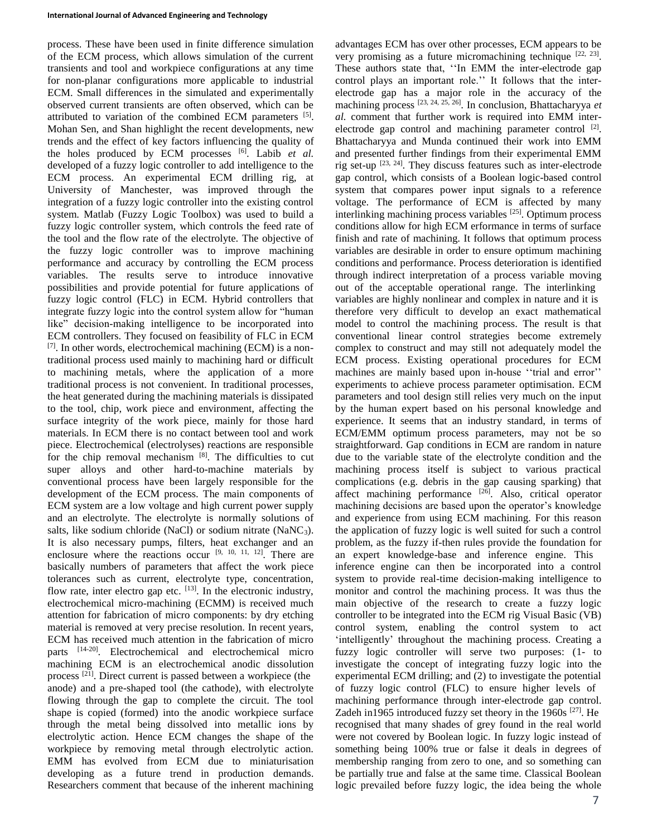process. These have been used in finite difference simulation of the ECM process, which allows simulation of the current transients and tool and workpiece configurations at any time for non-planar configurations more applicable to industrial ECM. Small differences in the simulated and experimentally observed current transients are often observed, which can be attributed to variation of the combined ECM parameters [5]. Mohan Sen, and Shan highlight the recent developments, new trends and the effect of key factors influencing the quality of the holes produced by ECM processes [6]. Labib *et al.* developed of a fuzzy logic controller to add intelligence to the ECM process. An experimental ECM drilling rig, at University of Manchester, was improved through the integration of a fuzzy logic controller into the existing control system. Matlab (Fuzzy Logic Toolbox) was used to build a fuzzy logic controller system, which controls the feed rate of the tool and the flow rate of the electrolyte. The objective of the fuzzy logic controller was to improve machining performance and accuracy by controlling the ECM process variables. The results serve to introduce innovative possibilities and provide potential for future applications of fuzzy logic control (FLC) in ECM. Hybrid controllers that integrate fuzzy logic into the control system allow for "human like" decision-making intelligence to be incorporated into ECM controllers. They focused on feasibility of FLC in ECM  $[7]$ . In other words, electrochemical machining (ECM) is a nontraditional process used mainly to machining hard or difficult to machining metals, where the application of a more traditional process is not convenient. In traditional processes, the heat generated during the machining materials is dissipated to the tool, chip, work piece and environment, affecting the surface integrity of the work piece, mainly for those hard materials. In ECM there is no contact between tool and work piece. Electrochemical (electrolyses) reactions are responsible for the chip removal mechanism [8]. The difficulties to cut super alloys and other hard-to-machine materials by conventional process have been largely responsible for the development of the ECM process. The main components of ECM system are a low voltage and high current power supply and an electrolyte. The electrolyte is normally solutions of salts, like sodium chloride (NaCl) or sodium nitrate (NaNC<sub>3</sub>). It is also necessary pumps, filters, heat exchanger and an enclosure where the reactions occur  $[9, 10, 11, 12]$ . There are basically numbers of parameters that affect the work piece tolerances such as current, electrolyte type, concentration, flow rate, inter electro gap etc. [13]. In the electronic industry, electrochemical micro-machining (ECMM) is received much attention for fabrication of micro components: by dry etching material is removed at very precise resolution. In recent years, ECM has received much attention in the fabrication of micro parts [14-20]. Electrochemical and electrochemical micro machining ECM is an electrochemical anodic dissolution process [21]. Direct current is passed between a workpiece (the anode) and a pre-shaped tool (the cathode), with electrolyte flowing through the gap to complete the circuit. The tool shape is copied (formed) into the anodic workpiece surface through the metal being dissolved into metallic ions by electrolytic action. Hence ECM changes the shape of the workpiece by removing metal through electrolytic action. EMM has evolved from ECM due to miniaturisation developing as a future trend in production demands. Researchers comment that because of the inherent machining

advantages ECM has over other processes, ECM appears to be very promising as a future micromachining technique  $[22, 23]$ . These authors state that, ''In EMM the inter-electrode gap control plays an important role.'' It follows that the interelectrode gap has a major role in the accuracy of the machining process [23, 24, 25, 26]. In conclusion, Bhattacharyya *et al.* comment that further work is required into EMM interelectrode gap control and machining parameter control  $[2]$ . Bhattacharyya and Munda continued their work into EMM and presented further findings from their experimental EMM rig set-up  $^{[23, 24]}$ . They discuss features such as inter-electrode gap control, which consists of a Boolean logic-based control system that compares power input signals to a reference voltage. The performance of ECM is affected by many interlinking machining process variables [25]. Optimum process conditions allow for high ECM erformance in terms of surface finish and rate of machining. It follows that optimum process variables are desirable in order to ensure optimum machining conditions and performance. Process deterioration is identified through indirect interpretation of a process variable moving out of the acceptable operational range. The interlinking variables are highly nonlinear and complex in nature and it is therefore very difficult to develop an exact mathematical model to control the machining process. The result is that conventional linear control strategies become extremely complex to construct and may still not adequately model the ECM process. Existing operational procedures for ECM machines are mainly based upon in-house ''trial and error'' experiments to achieve process parameter optimisation. ECM parameters and tool design still relies very much on the input by the human expert based on his personal knowledge and experience. It seems that an industry standard, in terms of ECM/EMM optimum process parameters, may not be so straightforward. Gap conditions in ECM are random in nature due to the variable state of the electrolyte condition and the machining process itself is subject to various practical complications (e.g. debris in the gap causing sparking) that affect machining performance <sup>[26]</sup>. Also, critical operator machining decisions are based upon the operator's knowledge and experience from using ECM machining. For this reason the application of fuzzy logic is well suited for such a control problem, as the fuzzy if-then rules provide the foundation for an expert knowledge-base and inference engine. This inference engine can then be incorporated into a control system to provide real-time decision-making intelligence to monitor and control the machining process. It was thus the main objective of the research to create a fuzzy logic controller to be integrated into the ECM rig Visual Basic (VB) control system, enabling the control system to act 'intelligently' throughout the machining process. Creating a fuzzy logic controller will serve two purposes: (1- to investigate the concept of integrating fuzzy logic into the experimental ECM drilling; and (2) to investigate the potential of fuzzy logic control (FLC) to ensure higher levels of machining performance through inter-electrode gap control. Zadeh in1965 introduced fuzzy set theory in the 1960s  $[27]$ . He recognised that many shades of grey found in the real world were not covered by Boolean logic. In fuzzy logic instead of something being 100% true or false it deals in degrees of membership ranging from zero to one, and so something can be partially true and false at the same time. Classical Boolean logic prevailed before fuzzy logic, the idea being the whole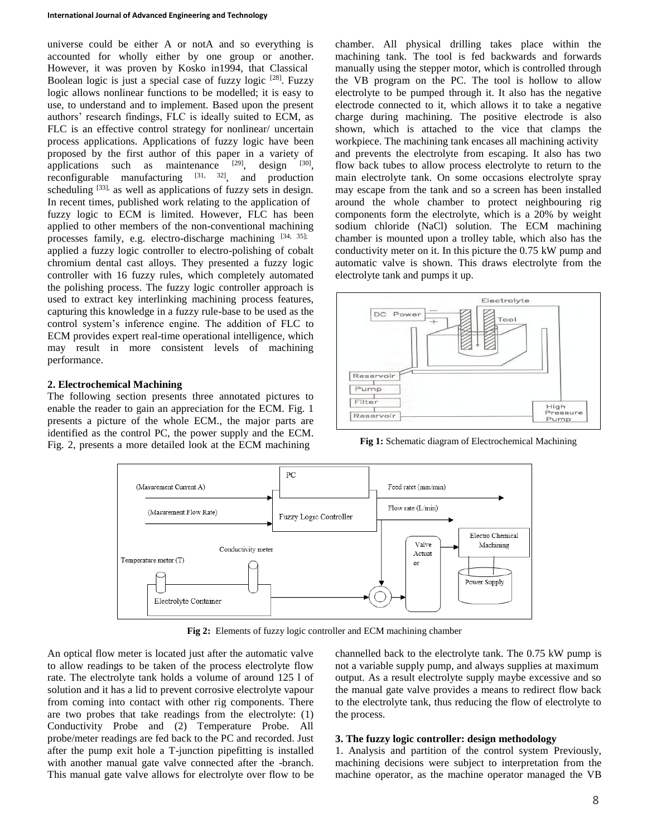universe could be either A or notA and so everything is accounted for wholly either by one group or another. However, it was proven by Kosko in1994, that Classical Boolean logic is just a special case of fuzzy logic  $[28]$ . Fuzzy logic allows nonlinear functions to be modelled; it is easy to use, to understand and to implement. Based upon the present authors' research findings, FLC is ideally suited to ECM, as FLC is an effective control strategy for nonlinear/ uncertain process applications. Applications of fuzzy logic have been proposed by the first author of this paper in a variety of applications such as maintenance  $[29]$ , design  $[30]$ , reconfigurable manufacturing  $[31, 32]$ , and production scheduling <sup>[33],</sup> as well as applications of fuzzy sets in design. In recent times, published work relating to the application of fuzzy logic to ECM is limited. However, FLC has been applied to other members of the non-conventional machining processes family, e.g. electro-discharge machining [34, 35]; applied a fuzzy logic controller to electro-polishing of cobalt chromium dental cast alloys. They presented a fuzzy logic controller with 16 fuzzy rules, which completely automated the polishing process. The fuzzy logic controller approach is used to extract key interlinking machining process features, capturing this knowledge in a fuzzy rule-base to be used as the control system's inference engine. The addition of FLC to ECM provides expert real-time operational intelligence, which may result in more consistent levels of machining performance.

### **2. Electrochemical Machining**

The following section presents three annotated pictures to enable the reader to gain an appreciation for the ECM. Fig. 1 presents a picture of the whole ECM., the major parts are identified as the control PC, the power supply and the ECM. Fig. 2, presents a more detailed look at the ECM machining

chamber. All physical drilling takes place within the machining tank. The tool is fed backwards and forwards manually using the stepper motor, which is controlled through the VB program on the PC. The tool is hollow to allow electrolyte to be pumped through it. It also has the negative electrode connected to it, which allows it to take a negative charge during machining. The positive electrode is also shown, which is attached to the vice that clamps the workpiece. The machining tank encases all machining activity and prevents the electrolyte from escaping. It also has two flow back tubes to allow process electrolyte to return to the main electrolyte tank. On some occasions electrolyte spray may escape from the tank and so a screen has been installed around the whole chamber to protect neighbouring rig components form the electrolyte, which is a 20% by weight sodium chloride (NaCl) solution. The ECM machining chamber is mounted upon a trolley table, which also has the conductivity meter on it. In this picture the 0.75 kW pump and automatic valve is shown. This draws electrolyte from the electrolyte tank and pumps it up.



**Fig 1:** Schematic diagram of Electrochemical Machining



**Fig 2:** Elements of fuzzy logic controller and ECM machining chamber

An optical flow meter is located just after the automatic valve to allow readings to be taken of the process electrolyte flow rate. The electrolyte tank holds a volume of around 125 l of solution and it has a lid to prevent corrosive electrolyte vapour from coming into contact with other rig components. There are two probes that take readings from the electrolyte: (1) Conductivity Probe and (2) Temperature Probe. All probe/meter readings are fed back to the PC and recorded. Just after the pump exit hole a T-junction pipefitting is installed with another manual gate valve connected after the -branch. This manual gate valve allows for electrolyte over flow to be

channelled back to the electrolyte tank. The 0.75 kW pump is not a variable supply pump, and always supplies at maximum output. As a result electrolyte supply maybe excessive and so the manual gate valve provides a means to redirect flow back to the electrolyte tank, thus reducing the flow of electrolyte to the process.

### **3. The fuzzy logic controller: design methodology**

1. Analysis and partition of the control system Previously, machining decisions were subject to interpretation from the machine operator, as the machine operator managed the VB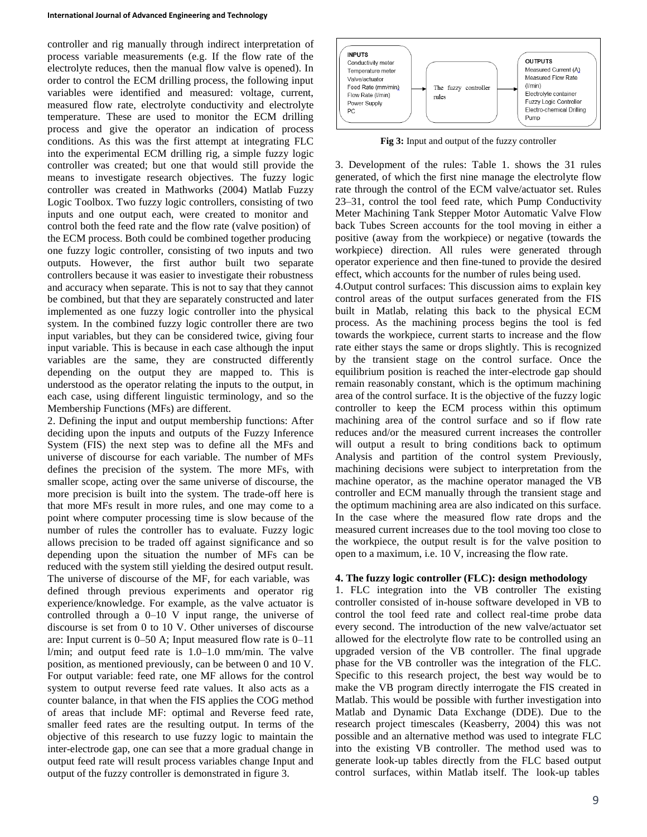controller and rig manually through indirect interpretation of process variable measurements (e.g. If the flow rate of the electrolyte reduces, then the manual flow valve is opened). In order to control the ECM drilling process, the following input variables were identified and measured: voltage, current, measured flow rate, electrolyte conductivity and electrolyte temperature. These are used to monitor the ECM drilling process and give the operator an indication of process conditions. As this was the first attempt at integrating FLC into the experimental ECM drilling rig, a simple fuzzy logic controller was created; but one that would still provide the means to investigate research objectives. The fuzzy logic controller was created in Mathworks (2004) Matlab Fuzzy Logic Toolbox. Two fuzzy logic controllers, consisting of two inputs and one output each, were created to monitor and control both the feed rate and the flow rate (valve position) of the ECM process. Both could be combined together producing one fuzzy logic controller, consisting of two inputs and two outputs. However, the first author built two separate controllers because it was easier to investigate their robustness and accuracy when separate. This is not to say that they cannot be combined, but that they are separately constructed and later implemented as one fuzzy logic controller into the physical system. In the combined fuzzy logic controller there are two input variables, but they can be considered twice, giving four input variable. This is because in each case although the input variables are the same, they are constructed differently depending on the output they are mapped to. This is understood as the operator relating the inputs to the output, in each case, using different linguistic terminology, and so the Membership Functions (MFs) are different.

2. Defining the input and output membership functions: After deciding upon the inputs and outputs of the Fuzzy Inference System (FIS) the next step was to define all the MFs and universe of discourse for each variable. The number of MFs defines the precision of the system. The more MFs, with smaller scope, acting over the same universe of discourse, the more precision is built into the system. The trade-off here is that more MFs result in more rules, and one may come to a point where computer processing time is slow because of the number of rules the controller has to evaluate. Fuzzy logic allows precision to be traded off against significance and so depending upon the situation the number of MFs can be reduced with the system still yielding the desired output result. The universe of discourse of the MF, for each variable, was defined through previous experiments and operator rig experience/knowledge. For example, as the valve actuator is controlled through a 0–10 V input range, the universe of discourse is set from 0 to 10 V. Other universes of discourse are: Input current is 0–50 A; Input measured flow rate is 0–11 l/min; and output feed rate is 1.0–1.0 mm/min. The valve position, as mentioned previously, can be between 0 and 10 V. For output variable: feed rate, one MF allows for the control system to output reverse feed rate values. It also acts as a counter balance, in that when the FIS applies the COG method of areas that include MF: optimal and Reverse feed rate, smaller feed rates are the resulting output. In terms of the objective of this research to use fuzzy logic to maintain the inter-electrode gap, one can see that a more gradual change in output feed rate will result process variables change Input and output of the fuzzy controller is demonstrated in figure 3.



**Fig 3:** Input and output of the fuzzy controller

3. Development of the rules: Table 1. shows the 31 rules generated, of which the first nine manage the electrolyte flow rate through the control of the ECM valve/actuator set. Rules 23–31, control the tool feed rate, which Pump Conductivity Meter Machining Tank Stepper Motor Automatic Valve Flow back Tubes Screen accounts for the tool moving in either a positive (away from the workpiece) or negative (towards the workpiece) direction. All rules were generated through operator experience and then fine-tuned to provide the desired effect, which accounts for the number of rules being used.

4.Output control surfaces: This discussion aims to explain key control areas of the output surfaces generated from the FIS built in Matlab, relating this back to the physical ECM process. As the machining process begins the tool is fed towards the workpiece, current starts to increase and the flow rate either stays the same or drops slightly. This is recognized by the transient stage on the control surface. Once the equilibrium position is reached the inter-electrode gap should remain reasonably constant, which is the optimum machining area of the control surface. It is the objective of the fuzzy logic controller to keep the ECM process within this optimum machining area of the control surface and so if flow rate reduces and/or the measured current increases the controller will output a result to bring conditions back to optimum Analysis and partition of the control system Previously, machining decisions were subject to interpretation from the machine operator, as the machine operator managed the VB controller and ECM manually through the transient stage and the optimum machining area are also indicated on this surface. In the case where the measured flow rate drops and the measured current increases due to the tool moving too close to the workpiece, the output result is for the valve position to open to a maximum, i.e. 10 V, increasing the flow rate.

### **4. The fuzzy logic controller (FLC): design methodology**

1. FLC integration into the VB controller The existing controller consisted of in-house software developed in VB to control the tool feed rate and collect real-time probe data every second. The introduction of the new valve/actuator set allowed for the electrolyte flow rate to be controlled using an upgraded version of the VB controller. The final upgrade phase for the VB controller was the integration of the FLC. Specific to this research project, the best way would be to make the VB program directly interrogate the FIS created in Matlab. This would be possible with further investigation into Matlab and Dynamic Data Exchange (DDE). Due to the research project timescales (Keasberry, 2004) this was not possible and an alternative method was used to integrate FLC into the existing VB controller. The method used was to generate look-up tables directly from the FLC based output control surfaces, within Matlab itself. The look-up tables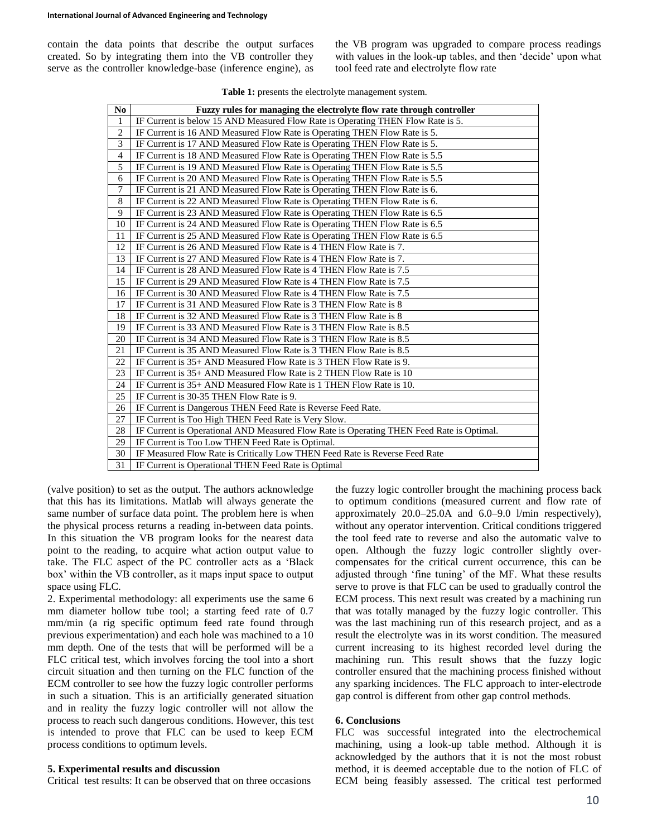contain the data points that describe the output surfaces created. So by integrating them into the VB controller they serve as the controller knowledge-base (inference engine), as

the VB program was upgraded to compare process readings with values in the look-up tables, and then 'decide' upon what tool feed rate and electrolyte flow rate

| N <sub>0</sub> | Fuzzy rules for managing the electrolyte flow rate through controller                    |
|----------------|------------------------------------------------------------------------------------------|
| 1              | IF Current is below 15 AND Measured Flow Rate is Operating THEN Flow Rate is 5.          |
| $\overline{c}$ | IF Current is 16 AND Measured Flow Rate is Operating THEN Flow Rate is 5.                |
| 3              | IF Current is 17 AND Measured Flow Rate is Operating THEN Flow Rate is 5.                |
| $\overline{4}$ | IF Current is 18 AND Measured Flow Rate is Operating THEN Flow Rate is 5.5               |
| 5              | IF Current is 19 AND Measured Flow Rate is Operating THEN Flow Rate is 5.5               |
| 6              | IF Current is 20 AND Measured Flow Rate is Operating THEN Flow Rate is 5.5               |
| $\overline{7}$ | IF Current is 21 AND Measured Flow Rate is Operating THEN Flow Rate is 6.                |
| 8              | IF Current is 22 AND Measured Flow Rate is Operating THEN Flow Rate is 6.                |
| 9              | IF Current is 23 AND Measured Flow Rate is Operating THEN Flow Rate is 6.5               |
| 10             | IF Current is 24 AND Measured Flow Rate is Operating THEN Flow Rate is 6.5               |
| 11             | IF Current is 25 AND Measured Flow Rate is Operating THEN Flow Rate is 6.5               |
| 12             | IF Current is 26 AND Measured Flow Rate is 4 THEN Flow Rate is 7.                        |
| 13             | IF Current is 27 AND Measured Flow Rate is 4 THEN Flow Rate is 7.                        |
| 14             | IF Current is 28 AND Measured Flow Rate is 4 THEN Flow Rate is 7.5                       |
| 15             | IF Current is 29 AND Measured Flow Rate is 4 THEN Flow Rate is 7.5                       |
| 16             | IF Current is 30 AND Measured Flow Rate is 4 THEN Flow Rate is 7.5                       |
| 17             | IF Current is 31 AND Measured Flow Rate is 3 THEN Flow Rate is 8                         |
| 18             | IF Current is 32 AND Measured Flow Rate is 3 THEN Flow Rate is 8                         |
| 19             | IF Current is 33 AND Measured Flow Rate is 3 THEN Flow Rate is 8.5                       |
| 20             | IF Current is 34 AND Measured Flow Rate is 3 THEN Flow Rate is 8.5                       |
| 21             | IF Current is 35 AND Measured Flow Rate is 3 THEN Flow Rate is 8.5                       |
| 22             | IF Current is 35+ AND Measured Flow Rate is 3 THEN Flow Rate is 9.                       |
| 23             | IF Current is 35+ AND Measured Flow Rate is 2 THEN Flow Rate is 10                       |
| 24             | IF Current is 35+ AND Measured Flow Rate is 1 THEN Flow Rate is 10.                      |
| 25             | IF Current is 30-35 THEN Flow Rate is 9.                                                 |
| 26             | IF Current is Dangerous THEN Feed Rate is Reverse Feed Rate.                             |
| 27             | IF Current is Too High THEN Feed Rate is Very Slow.                                      |
| 28             | IF Current is Operational AND Measured Flow Rate is Operating THEN Feed Rate is Optimal. |
| 29             | IF Current is Too Low THEN Feed Rate is Optimal.                                         |
| 30             | IF Measured Flow Rate is Critically Low THEN Feed Rate is Reverse Feed Rate              |
| 31             | IF Current is Operational THEN Feed Rate is Optimal                                      |

**Table 1:** presents the electrolyte management system.

(valve position) to set as the output. The authors acknowledge that this has its limitations. Matlab will always generate the same number of surface data point. The problem here is when the physical process returns a reading in-between data points. In this situation the VB program looks for the nearest data point to the reading, to acquire what action output value to take. The FLC aspect of the PC controller acts as a 'Black box' within the VB controller, as it maps input space to output space using FLC.

2. Experimental methodology: all experiments use the same 6 mm diameter hollow tube tool; a starting feed rate of 0.7 mm/min (a rig specific optimum feed rate found through previous experimentation) and each hole was machined to a 10 mm depth. One of the tests that will be performed will be a FLC critical test, which involves forcing the tool into a short circuit situation and then turning on the FLC function of the ECM controller to see how the fuzzy logic controller performs in such a situation. This is an artificially generated situation and in reality the fuzzy logic controller will not allow the process to reach such dangerous conditions. However, this test is intended to prove that FLC can be used to keep ECM process conditions to optimum levels.

#### **5. Experimental results and discussion**

Critical test results: It can be observed that on three occasions

the fuzzy logic controller brought the machining process back to optimum conditions (measured current and flow rate of approximately 20.0–25.0A and 6.0–9.0 l/min respectively), without any operator intervention. Critical conditions triggered the tool feed rate to reverse and also the automatic valve to open. Although the fuzzy logic controller slightly overcompensates for the critical current occurrence, this can be adjusted through 'fine tuning' of the MF. What these results serve to prove is that FLC can be used to gradually control the ECM process. This next result was created by a machining run that was totally managed by the fuzzy logic controller. This was the last machining run of this research project, and as a result the electrolyte was in its worst condition. The measured current increasing to its highest recorded level during the machining run. This result shows that the fuzzy logic controller ensured that the machining process finished without any sparking incidences. The FLC approach to inter-electrode gap control is different from other gap control methods.

#### **6. Conclusions**

FLC was successful integrated into the electrochemical machining, using a look-up table method. Although it is acknowledged by the authors that it is not the most robust method, it is deemed acceptable due to the notion of FLC of ECM being feasibly assessed. The critical test performed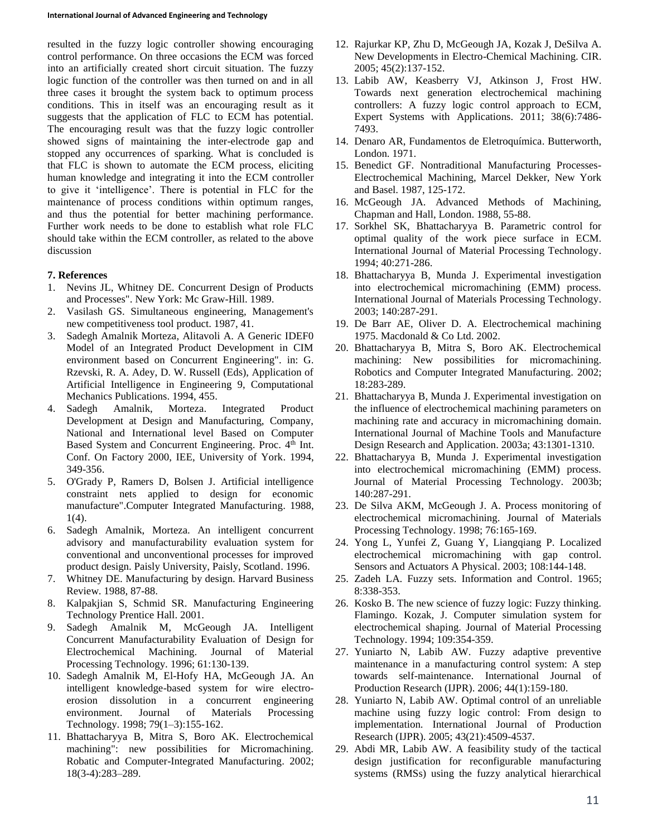resulted in the fuzzy logic controller showing encouraging control performance. On three occasions the ECM was forced into an artificially created short circuit situation. The fuzzy logic function of the controller was then turned on and in all three cases it brought the system back to optimum process conditions. This in itself was an encouraging result as it suggests that the application of FLC to ECM has potential. The encouraging result was that the fuzzy logic controller showed signs of maintaining the inter-electrode gap and stopped any occurrences of sparking. What is concluded is that FLC is shown to automate the ECM process, eliciting human knowledge and integrating it into the ECM controller to give it 'intelligence'. There is potential in FLC for the maintenance of process conditions within optimum ranges, and thus the potential for better machining performance. Further work needs to be done to establish what role FLC should take within the ECM controller, as related to the above discussion

## **7. References**

- 1. Nevins JL, Whitney DE. Concurrent Design of Products and Processes". New York: Mc Graw-Hill. 1989.
- 2. Vasilash GS. Simultaneous engineering, Management's new competitiveness tool product. 1987, 41.
- 3. Sadegh Amalnik Morteza, Alitavoli A. A Generic IDEF0 Model of an Integrated Product Development in CIM environment based on Concurrent Engineering". in: G. Rzevski, R. A. Adey, D. W. Russell (Eds), Application of Artificial Intelligence in Engineering 9, Computational Mechanics Publications. 1994, 455.
- 4. Sadegh Amalnik, Morteza. Integrated Product Development at Design and Manufacturing, Company, National and International level Based on Computer Based System and Concurrent Engineering. Proc. 4<sup>th</sup> Int. Conf. On Factory 2000, IEE, University of York. 1994, 349-356.
- 5. O'Grady P, Ramers D, Bolsen J. Artificial intelligence constraint nets applied to design for economic manufacture".Computer Integrated Manufacturing. 1988, 1(4).
- 6. Sadegh Amalnik, Morteza. An intelligent concurrent advisory and manufacturability evaluation system for conventional and unconventional processes for improved product design. Paisly University, Paisly, Scotland. 1996.
- 7. Whitney DE. Manufacturing by design. Harvard Business Review. 1988, 87-88.
- 8. Kalpakjian S, Schmid SR. Manufacturing Engineering Technology Prentice Hall. 2001.
- 9. Sadegh Amalnik M, McGeough JA. Intelligent Concurrent Manufacturability Evaluation of Design for Electrochemical Machining. Journal of Material Processing Technology. 1996; 61:130-139.
- 10. Sadegh Amalnik M, El-Hofy HA, McGeough JA. An intelligent knowledge-based system for wire electroerosion dissolution in a concurrent engineering environment. Journal of Materials Processing Technology. 1998; 79(1–3):155-162.
- 11. Bhattacharyya B, Mitra S, Boro AK. Electrochemical machining": new possibilities for Micromachining. Robatic and Computer-Integrated Manufacturing. 2002; 18(3-4):283–289.
- 12. Rajurkar KP, Zhu D, McGeough JA, Kozak J, DeSilva A. New Developments in Electro-Chemical Machining. CIR. 2005; 45(2):137-152.
- 13. Labib AW, Keasberry VJ, Atkinson J, Frost HW. Towards next generation electrochemical machining controllers: A fuzzy logic control approach to ECM, Expert Systems with Applications. 2011; 38(6):7486- 7493.
- 14. Denaro AR, Fundamentos de Eletroquímica. Butterworth, London. 1971.
- 15. Benedict GF. Nontraditional Manufacturing Processes-Electrochemical Machining, Marcel Dekker, New York and Basel. 1987, 125-172.
- 16. McGeough JA. Advanced Methods of Machining, Chapman and Hall, London. 1988, 55-88.
- 17. Sorkhel SK, Bhattacharyya B. Parametric control for optimal quality of the work piece surface in ECM. International Journal of Material Processing Technology. 1994; 40:271-286.
- 18. Bhattacharyya B, Munda J. Experimental investigation into electrochemical micromachining (EMM) process. International Journal of Materials Processing Technology. 2003; 140:287-291.
- 19. De Barr AE, Oliver D. A. Electrochemical machining 1975. Macdonald & Co Ltd. 2002.
- 20. Bhattacharyya B, Mitra S, Boro AK. Electrochemical machining: New possibilities for micromachining. Robotics and Computer Integrated Manufacturing. 2002; 18:283-289.
- 21. Bhattacharyya B, Munda J. Experimental investigation on the influence of electrochemical machining parameters on machining rate and accuracy in micromachining domain. International Journal of Machine Tools and Manufacture Design Research and Application. 2003a; 43:1301-1310.
- 22. Bhattacharyya B, Munda J. Experimental investigation into electrochemical micromachining (EMM) process. Journal of Material Processing Technology. 2003b; 140:287-291.
- 23. De Silva AKM, McGeough J. A. Process monitoring of electrochemical micromachining. Journal of Materials Processing Technology. 1998; 76:165-169.
- 24. Yong L, Yunfei Z, Guang Y, Liangqiang P. Localized electrochemical micromachining with gap control. Sensors and Actuators A Physical. 2003; 108:144-148.
- 25. Zadeh LA. Fuzzy sets. Information and Control. 1965; 8:338-353.
- 26. Kosko B. The new science of fuzzy logic: Fuzzy thinking. Flamingo. Kozak, J. Computer simulation system for electrochemical shaping. Journal of Material Processing Technology. 1994; 109:354-359.
- 27. Yuniarto N, Labib AW. Fuzzy adaptive preventive maintenance in a manufacturing control system: A step towards self-maintenance. International Journal of Production Research (IJPR). 2006; 44(1):159-180.
- 28. Yuniarto N, Labib AW. Optimal control of an unreliable machine using fuzzy logic control: From design to implementation. International Journal of Production Research (IJPR). 2005; 43(21):4509-4537.
- 29. Abdi MR, Labib AW. A feasibility study of the tactical design justification for reconfigurable manufacturing systems (RMSs) using the fuzzy analytical hierarchical